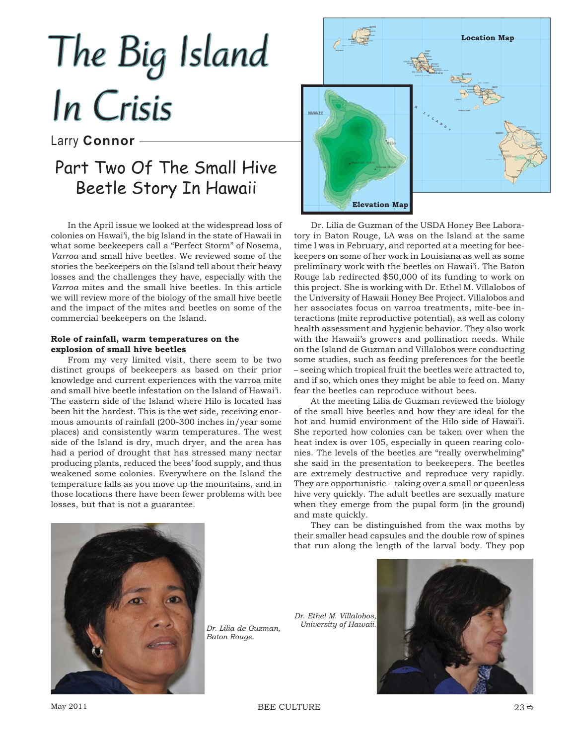# In Crisis

## Larry **Connor**

# Part Two Of The Small Hive Beetle Story In Hawaii

In the April issue we looked at the widespread loss of colonies on Hawai'i, the big Island in the state of Hawaii in what some beekeepers call a "Perfect Storm" of Nosema, *Varroa* and small hive beetles. We reviewed some of the stories the beekeepers on the Island tell about their heavy losses and the challenges they have, especially with the *Varroa* mites and the small hive beetles. In this article we will review more of the biology of the small hive beetle and the impact of the mites and beetles on some of the commercial beekeepers on the Island.

### **Role of rainfall, warm temperatures on the explosion of small hive beetles**

From my very limited visit, there seem to be two distinct groups of beekeepers as based on their prior knowledge and current experiences with the varroa mite and small hive beetle infestation on the Island of Hawai'i. The eastern side of the Island where Hilo is located has been hit the hardest. This is the wet side, receiving enormous amounts of rainfall (200-300 inches in/year some places) and consistently warm temperatures. The west side of the Island is dry, much dryer, and the area has had a period of drought that has stressed many nectar producing plants, reduced the bees' food supply, and thus weakened some colonies. Everywhere on the Island the temperature falls as you move up the mountains, and in those locations there have been fewer problems with bee losses, but that is not a guarantee.



Dr. Lilia de Guzman of the USDA Honey Bee Laboratory in Baton Rouge, LA was on the Island at the same time I was in February, and reported at a meeting for beekeepers on some of her work in Louisiana as well as some preliminary work with the beetles on Hawai'i. The Baton Rouge lab redirected \$50,000 of its funding to work on this project. She is working with Dr. Ethel M. Villalobos of the University of Hawaii Honey Bee Project. Villalobos and her associates focus on varroa treatments, mite-bee interactions (mite reproductive potential), as well as colony health assessment and hygienic behavior. They also work with the Hawaii's growers and pollination needs. While on the Island de Guzman and Villalobos were conducting some studies, such as feeding preferences for the beetle – seeing which tropical fruit the beetles were attracted to, and if so, which ones they might be able to feed on. Many fear the beetles can reproduce without bees.

At the meeting Lilia de Guzman reviewed the biology of the small hive beetles and how they are ideal for the hot and humid environment of the Hilo side of Hawai'i. She reported how colonies can be taken over when the heat index is over 105, especially in queen rearing colonies. The levels of the beetles are "really overwhelming" she said in the presentation to beekeepers. The beetles are extremely destructive and reproduce very rapidly. They are opportunistic – taking over a small or queenless hive very quickly. The adult beetles are sexually mature when they emerge from the pupal form (in the ground) and mate quickly.

They can be distinguished from the wax moths by their smaller head capsules and the double row of spines that run along the length of the larval body. They pop



*Dr. Lilia de Guzman, Baton Rouge.*

*Dr. Ethel M. Villalobos, University of Hawaii.*

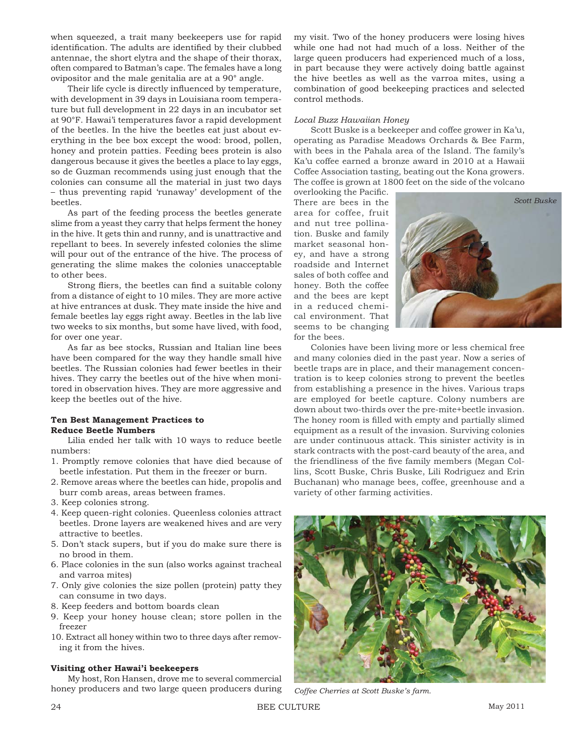when squeezed, a trait many beekeepers use for rapid identification. The adults are identified by their clubbed antennae, the short elytra and the shape of their thorax, often compared to Batman's cape. The females have a long ovipositor and the male genitalia are at a 90° angle.

Their life cycle is directly influenced by temperature, with development in 39 days in Louisiana room temperature but full development in 22 days in an incubator set at 90°F. Hawai'i temperatures favor a rapid development of the beetles. In the hive the beetles eat just about everything in the bee box except the wood: brood, pollen, honey and protein patties. Feeding bees protein is also dangerous because it gives the beetles a place to lay eggs, so de Guzman recommends using just enough that the colonies can consume all the material in just two days – thus preventing rapid 'runaway' development of the beetles.

As part of the feeding process the beetles generate slime from a yeast they carry that helps ferment the honey in the hive. It gets thin and runny, and is unattractive and repellant to bees. In severely infested colonies the slime will pour out of the entrance of the hive. The process of generating the slime makes the colonies unacceptable to other bees.

Strong fliers, the beetles can find a suitable colony from a distance of eight to 10 miles. They are more active at hive entrances at dusk. They mate inside the hive and female beetles lay eggs right away. Beetles in the lab live two weeks to six months, but some have lived, with food, for over one year.

As far as bee stocks, Russian and Italian line bees have been compared for the way they handle small hive beetles. The Russian colonies had fewer beetles in their hives. They carry the beetles out of the hive when monitored in observation hives. They are more aggressive and keep the beetles out of the hive.

### **Ten Best Management Practices to Reduce Beetle Numbers**

Lilia ended her talk with 10 ways to reduce beetle numbers:

- 1. Promptly remove colonies that have died because of beetle infestation. Put them in the freezer or burn.
- 2. Remove areas where the beetles can hide, propolis and burr comb areas, areas between frames.
- 3. Keep colonies strong.
- 4. Keep queen-right colonies. Queenless colonies attract beetles. Drone layers are weakened hives and are very attractive to beetles.
- 5. Don't stack supers, but if you do make sure there is no brood in them.
- 6. Place colonies in the sun (also works against tracheal and varroa mites)
- 7. Only give colonies the size pollen (protein) patty they can consume in two days.
- 8. Keep feeders and bottom boards clean
- 9. Keep your honey house clean; store pollen in the freezer
- 10. Extract all honey within two to three days after removing it from the hives.

### **Visiting other Hawai'i beekeepers**

My host, Ron Hansen, drove me to several commercial honey producers and two large queen producers during my visit. Two of the honey producers were losing hives while one had not had much of a loss. Neither of the large queen producers had experienced much of a loss, in part because they were actively doing battle against the hive beetles as well as the varroa mites, using a combination of good beekeeping practices and selected control methods.

### *Local Buzz Hawaiian Honey*

Scott Buske is a beekeeper and coffee grower in Ka'u, operating as Paradise Meadows Orchards & Bee Farm, with bees in the Pahala area of the Island. The family's Ka'u coffee earned a bronze award in 2010 at a Hawaii Coffee Association tasting, beating out the Kona growers. The coffee is grown at 1800 feet on the side of the volcano

overlooking the Pacific. There are bees in the area for coffee, fruit and nut tree pollination. Buske and family market seasonal honey, and have a strong roadside and Internet sales of both coffee and honey. Both the coffee and the bees are kept in a reduced chemical environment. That seems to be changing for the bees.



Colonies have been living more or less chemical free and many colonies died in the past year. Now a series of beetle traps are in place, and their management concentration is to keep colonies strong to prevent the beetles from establishing a presence in the hives. Various traps are employed for beetle capture. Colony numbers are down about two-thirds over the pre-mite+beetle invasion. The honey room is filled with empty and partially slimed equipment as a result of the invasion. Surviving colonies are under continuous attack. This sinister activity is in stark contracts with the post-card beauty of the area, and the friendliness of the five family members (Megan Collins, Scott Buske, Chris Buske, Lili Rodriguez and Erin Buchanan) who manage bees, coffee, greenhouse and a variety of other farming activities.



*Coffee Cherries at Scott Buske's farm.*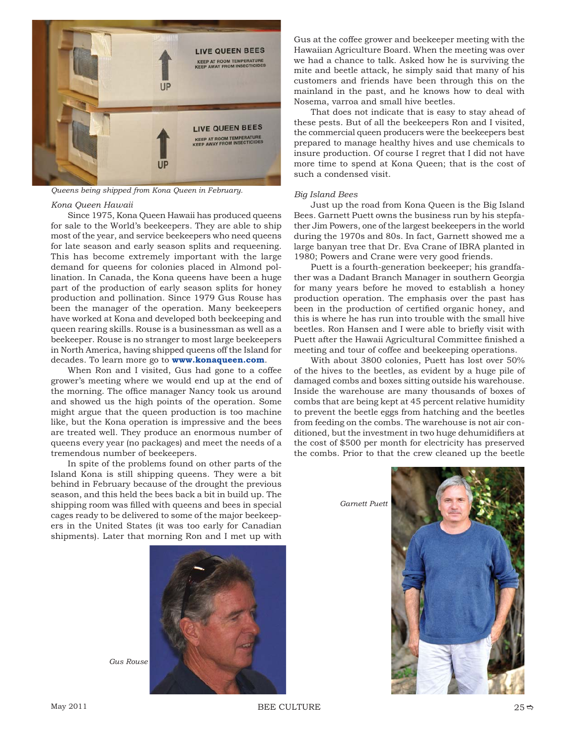

*Queens being shipped from Kona Queen in February.* 

### *Kona Queen Hawaii*

Since 1975, Kona Queen Hawaii has produced queens for sale to the World's beekeepers. They are able to ship most of the year, and service beekeepers who need queens for late season and early season splits and requeening. This has become extremely important with the large demand for queens for colonies placed in Almond pollination. In Canada, the Kona queens have been a huge part of the production of early season splits for honey production and pollination. Since 1979 Gus Rouse has been the manager of the operation. Many beekeepers have worked at Kona and developed both beekeeping and queen rearing skills. Rouse is a businessman as well as a beekeeper. Rouse is no stranger to most large beekeepers in North America, having shipped queens off the Island for decades. To learn more go to **www.konaqueen.com**.

When Ron and I visited, Gus had gone to a coffee grower's meeting where we would end up at the end of the morning. The office manager Nancy took us around and showed us the high points of the operation. Some might argue that the queen production is too machine like, but the Kona operation is impressive and the bees are treated well. They produce an enormous number of queens every year (no packages) and meet the needs of a tremendous number of beekeepers.

In spite of the problems found on other parts of the Island Kona is still shipping queens. They were a bit behind in February because of the drought the previous season, and this held the bees back a bit in build up. The shipping room was filled with queens and bees in special cages ready to be delivered to some of the major beekeepers in the United States (it was too early for Canadian shipments). Later that morning Ron and I met up with Gus at the coffee grower and beekeeper meeting with the Hawaiian Agriculture Board. When the meeting was over we had a chance to talk. Asked how he is surviving the mite and beetle attack, he simply said that many of his customers and friends have been through this on the mainland in the past, and he knows how to deal with Nosema, varroa and small hive beetles.

That does not indicate that is easy to stay ahead of these pests. But of all the beekeepers Ron and I visited, the commercial queen producers were the beekeepers best prepared to manage healthy hives and use chemicals to insure production. Of course I regret that I did not have more time to spend at Kona Queen; that is the cost of such a condensed visit.

### *Big Island Bees*

Just up the road from Kona Queen is the Big Island Bees. Garnett Puett owns the business run by his stepfather Jim Powers, one of the largest beekeepers in the world during the 1970s and 80s. In fact, Garnett showed me a large banyan tree that Dr. Eva Crane of IBRA planted in 1980; Powers and Crane were very good friends.

Puett is a fourth-generation beekeeper; his grandfather was a Dadant Branch Manager in southern Georgia for many years before he moved to establish a honey production operation. The emphasis over the past has been in the production of certified organic honey, and this is where he has run into trouble with the small hive beetles. Ron Hansen and I were able to briefly visit with Puett after the Hawaii Agricultural Committee finished a meeting and tour of coffee and beekeeping operations.

With about 3800 colonies, Puett has lost over 50% of the hives to the beetles, as evident by a huge pile of damaged combs and boxes sitting outside his warehouse. Inside the warehouse are many thousands of boxes of combs that are being kept at 45 percent relative humidity to prevent the beetle eggs from hatching and the beetles from feeding on the combs. The warehouse is not air conditioned, but the investment in two huge dehumidifiers at the cost of \$500 per month for electricity has preserved the combs. Prior to that the crew cleaned up the beetle

*Garnett Puett*





*Gus Rouse*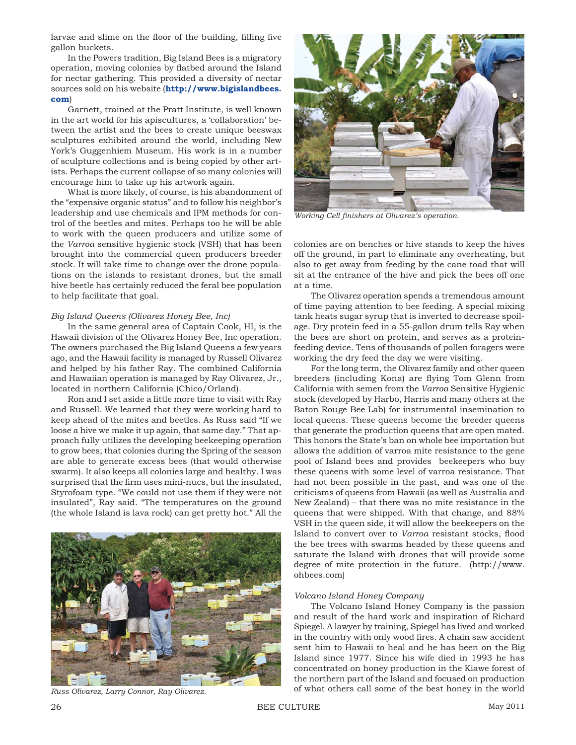larvae and slime on the floor of the building, filling five gallon buckets.

In the Powers tradition, Big Island Bees is a migratory operation, moving colonies by flatbed around the Island for nectar gathering. This provided a diversity of nectar sources sold on his website (**http://www.bigislandbees. com**)

Garnett, trained at the Pratt Institute, is well known in the art world for his apiscultures, a 'collaboration' between the artist and the bees to create unique beeswax sculptures exhibited around the world, including New York's Guggenhiem Museum. His work is in a number of sculpture collections and is being copied by other artists. Perhaps the current collapse of so many colonies will encourage him to take up his artwork again.

What is more likely, of course, is his abandonment of the "expensive organic status" and to follow his neighbor's leadership and use chemicals and IPM methods for control of the beetles and mites. Perhaps too he will be able to work with the queen producers and utilize some of the *Varroa* sensitive hygienic stock (VSH) that has been brought into the commercial queen producers breeder stock. It will take time to change over the drone populations on the islands to resistant drones, but the small hive beetle has certainly reduced the feral bee population to help facilitate that goal.

### *Big Island Queens (Olivarez Honey Bee, Inc)*

In the same general area of Captain Cook, HI, is the Hawaii division of the Olivarez Honey Bee, Inc operation. The owners purchased the Big Island Queens a few years ago, and the Hawaii facility is managed by Russell Olivarez and helped by his father Ray. The combined California and Hawaiian operation is managed by Ray Olivarez, Jr., located in northern California (Chico/Orland).

Ron and I set aside a little more time to visit with Ray and Russell. We learned that they were working hard to keep ahead of the mites and beetles. As Russ said "If we loose a hive we make it up again, that same day." That approach fully utilizes the developing beekeeping operation to grow bees; that colonies during the Spring of the season are able to generate excess bees (that would otherwise swarm). It also keeps all colonies large and healthy. I was surprised that the firm uses mini-nucs, but the insulated, Styrofoam type. "We could not use them if they were not insulated", Ray said. "The temperatures on the ground (the whole Island is lava rock) can get pretty hot." All the





*Working Cell finishers at Olivarez's operation.* 

colonies are on benches or hive stands to keep the hives off the ground, in part to eliminate any overheating, but also to get away from feeding by the cane toad that will sit at the entrance of the hive and pick the bees off one at a time.

The Olivarez operation spends a tremendous amount of time paying attention to bee feeding. A special mixing tank heats sugar syrup that is inverted to decrease spoilage. Dry protein feed in a 55-gallon drum tells Ray when the bees are short on protein, and serves as a proteinfeeding device. Tens of thousands of pollen foragers were working the dry feed the day we were visiting.

For the long term, the Olivarez family and other queen breeders (including Kona) are flying Tom Glenn from California with semen from the *Varroa* Sensitive Hygienic stock (developed by Harbo, Harris and many others at the Baton Rouge Bee Lab) for instrumental insemination to local queens. These queens become the breeder queens that generate the production queens that are open mated. This honors the State's ban on whole bee importation but allows the addition of varroa mite resistance to the gene pool of Island bees and provides beekeepers who buy these queens with some level of varroa resistance. That had not been possible in the past, and was one of the criticisms of queens from Hawaii (as well as Australia and New Zealand) – that there was no mite resistance in the queens that were shipped. With that change, and 88% VSH in the queen side, it will allow the beekeepers on the Island to convert over to *Varroa* resistant stocks, flood the bee trees with swarms headed by these queens and saturate the Island with drones that will provide some degree of mite protection in the future. (http://www. ohbees.com)

### *Volcano Island Honey Company*

The Volcano Island Honey Company is the passion and result of the hard work and inspiration of Richard Spiegel. A lawyer by training, Spiegel has lived and worked in the country with only wood fires. A chain saw accident sent him to Hawaii to heal and he has been on the Big Island since 1977. Since his wife died in 1993 he has concentrated on honey production in the Kiawe forest of the northern part of the Island and focused on production *Russ Olivarez, Larry Connor, Ray Olivarez.* of what others call some of the best honey in the world